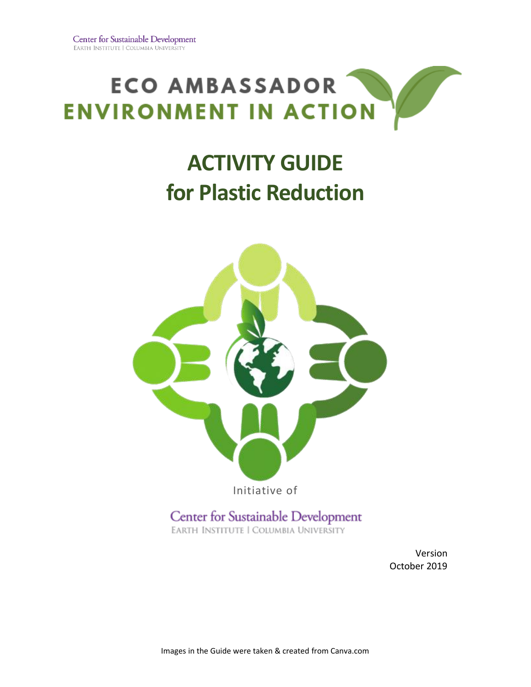

## **ACTIVITY GUIDE for Plastic Reduction**



Center for Sustainable Development EARTH INSTITUTE | COLUMBIA UNIVERSITY

> Version October 2019

Images in the Guide were taken & created from Canva.com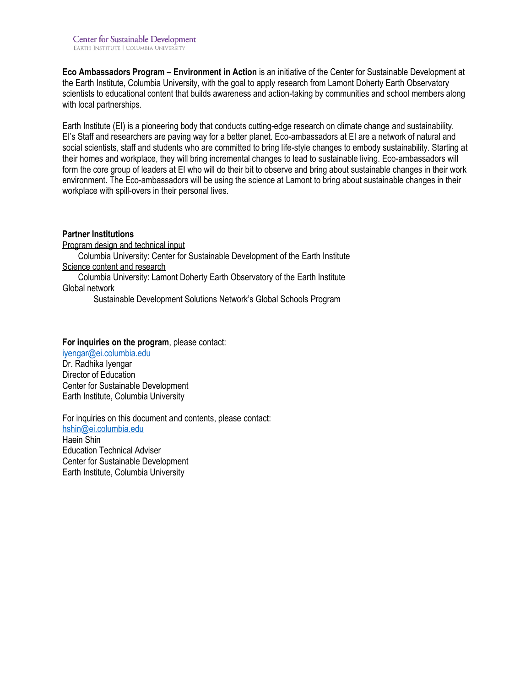**Eco Ambassadors Program – Environment in Action** is an initiative of the Center for Sustainable Development at the Earth Institute, Columbia University, with the goal to apply research from Lamont Doherty Earth Observatory scientists to educational content that builds awareness and action-taking by communities and school members along with local partnerships.

Earth Institute (EI) is a pioneering body that conducts cutting-edge research on climate change and sustainability. EI's Staff and researchers are paving way for a better planet. Eco-ambassadors at EI are a network of natural and social scientists, staff and students who are committed to bring life-style changes to embody sustainability. Starting at their homes and workplace, they will bring incremental changes to lead to sustainable living. Eco-ambassadors will form the core group of leaders at EI who will do their bit to observe and bring about sustainable changes in their work environment. The Eco-ambassadors will be using the science at Lamont to bring about sustainable changes in their workplace with spill-overs in their personal lives.

#### **Partner Institutions**

Program design and technical input Columbia University: Center for Sustainable Development of the Earth Institute Science content and research

Columbia University: Lamont Doherty Earth Observatory of the Earth Institute Global network

Sustainable Development Solutions Network's Global Schools Program

#### **For inquiries on the program**, please contact:

[iyengar@ei.columbia.edu](mailto:iyengar@ei.columbia.edu) Dr. Radhika Iyengar Director of Education Center for Sustainable Development Earth Institute, Columbia University

For inquiries on this document and contents, please contact: [hshin@ei.columbia.edu](mailto:hshin@ei.columbia.edu) Haein Shin

Education Technical Adviser Center for Sustainable Development Earth Institute, Columbia University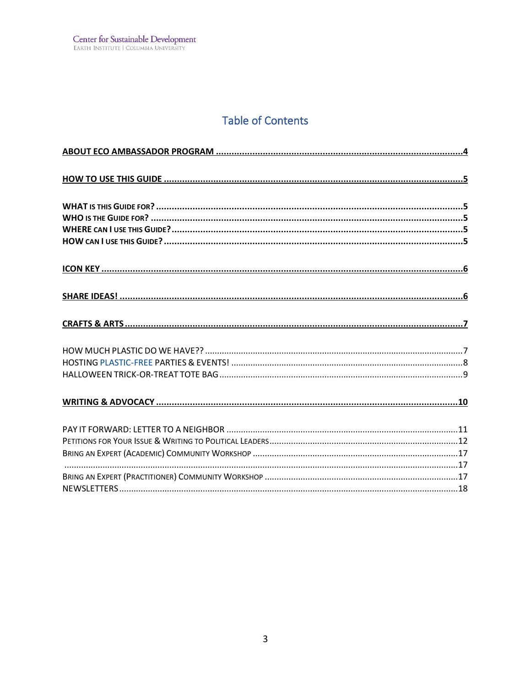## **Table of Contents**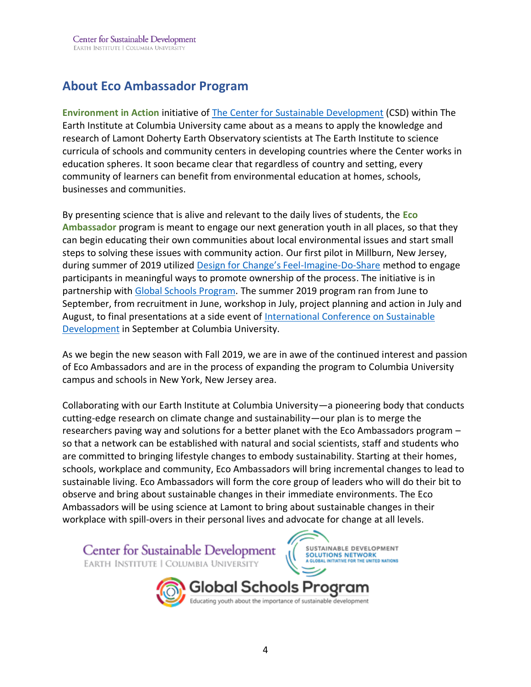## <span id="page-3-0"></span>**About Eco Ambassador Program**

**Environment in Action** initiative of [The Center for Sustainable Development](http://csd.columbia.edu/) (CSD) within The Earth Institute at Columbia University came about as a means to apply the knowledge and research of Lamont Doherty Earth Observatory scientists at The Earth Institute to science curricula of schools and community centers in developing countries where the Center works in education spheres. It soon became clear that regardless of country and setting, every community of learners can benefit from environmental education at homes, schools, businesses and communities.

By presenting science that is alive and relevant to the daily lives of students, the **Eco Ambassador** program is meant to engage our next generation youth in all places, so that they can begin educating their own communities about local environmental issues and start small steps to solving these issues with community action. Our first pilot in Millburn, New Jersey, during summer of 2019 utilized [Design for Change's Feel](https://www.dfcworld.com/SITE)-Imagine-Do-Share method to engage participants in meaningful ways to promote ownership of the process. The initiative is in partnership with [Global Schools Program.](https://www.globalschoolsprogram.org/) The summer 2019 program ran from June to September, from recruitment in June, workshop in July, project planning and action in July and August, to final presentations at a side event of International Conference on Sustainable [Development](http://ic-sd.org/) in September at Columbia University.

As we begin the new season with Fall 2019, we are in awe of the continued interest and passion of Eco Ambassadors and are in the process of expanding the program to Columbia University campus and schools in New York, New Jersey area.

Collaborating with our Earth Institute at Columbia University—a pioneering body that conducts cutting-edge research on climate change and sustainability—our plan is to merge the researchers paving way and solutions for a better planet with the Eco Ambassadors program – so that a network can be established with natural and social scientists, staff and students who are committed to bringing lifestyle changes to embody sustainability. Starting at their homes, schools, workplace and community, Eco Ambassadors will bring incremental changes to lead to sustainable living. Eco Ambassadors will form the core group of leaders who will do their bit to observe and bring about sustainable changes in their immediate environments. The Eco Ambassadors will be using science at Lamont to bring about sustainable changes in their workplace with spill-overs in their personal lives and advocate for change at all levels.

Center for Sustainable Development SUSTAINABLE DEVELOPMENT **SOLUTIONS NETWORK** EARTH INSTITUTE | COLUMBIA UNIVERSITY Global Schools Program

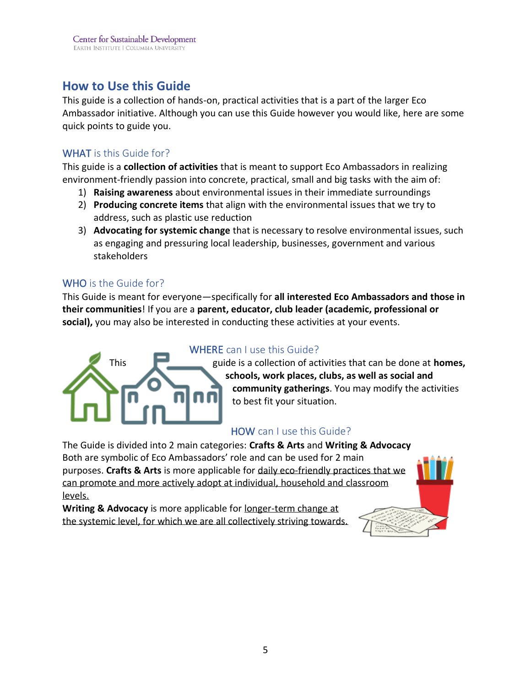## <span id="page-4-0"></span>**How to Use this Guide**

This guide is a collection of hands-on, practical activities that is a part of the larger Eco Ambassador initiative. Although you can use this Guide however you would like, here are some quick points to guide you.

#### <span id="page-4-1"></span>WHAT is this Guide for?

This guide is a **collection of activities** that is meant to support Eco Ambassadors in realizing environment-friendly passion into concrete, practical, small and big tasks with the aim of:

- 1) **Raising awareness** about environmental issues in their immediate surroundings
- 2) **Producing concrete items** that align with the environmental issues that we try to address, such as plastic use reduction
- 3) **Advocating for systemic change** that is necessary to resolve environmental issues, such as engaging and pressuring local leadership, businesses, government and various stakeholders

#### <span id="page-4-2"></span>WHO is the Guide for?

This Guide is meant for everyone—specifically for **all interested Eco Ambassadors and those in their communities**! If you are a **parent, educator, club leader (academic, professional or social),** you may also be interested in conducting these activities at your events.



#### <span id="page-4-3"></span>WHERE can I use this Guide?

This guide is a collection of activities that can be done at **homes, schools, work places, clubs, as well as social and community gatherings**. You may modify the activities to best fit your situation.

#### <span id="page-4-4"></span>HOW can I use this Guide?

The Guide is divided into 2 main categories: **Crafts & Arts** and **Writing & Advocacy** Both are symbolic of Eco Ambassadors' role and can be used for 2 main purposes. **Crafts & Arts** is more applicable for daily eco-friendly practices that we can promote and more actively adopt at individual, household and classroom levels.

**Writing & Advocacy** is more applicable for longer-term change at the systemic level, for which we are all collectively striving towards.

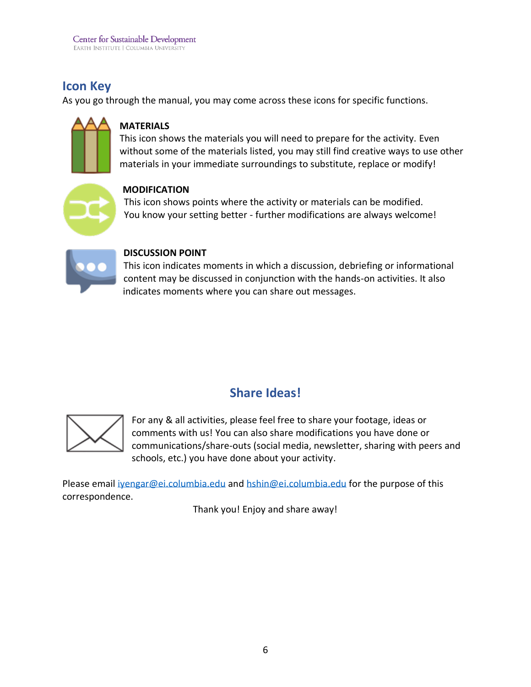## <span id="page-5-0"></span>**Icon Key**

As you go through the manual, you may come across these icons for specific functions.



#### **MATERIALS**

This icon shows the materials you will need to prepare for the activity. Even without some of the materials listed, you may still find creative ways to use other materials in your immediate surroundings to substitute, replace or modify!



#### **MODIFICATION**

This icon shows points where the activity or materials can be modified. You know your setting better - further modifications are always welcome!



#### **DISCUSSION POINT**

This icon indicates moments in which a discussion, debriefing or informational content may be discussed in conjunction with the hands-on activities. It also indicates moments where you can share out messages.

## **Share Ideas!**

<span id="page-5-1"></span>

For any & all activities, please feel free to share your footage, ideas or comments with us! You can also share modifications you have done or communications/share-outs (social media, newsletter, sharing with peers and schools, etc.) you have done about your activity.

Please email ivengar@ei.columbia.edu and [hshin@ei.columbia.edu](mailto:hshin@ei.columbia.edu) for the purpose of this correspondence.

Thank you! Enjoy and share away!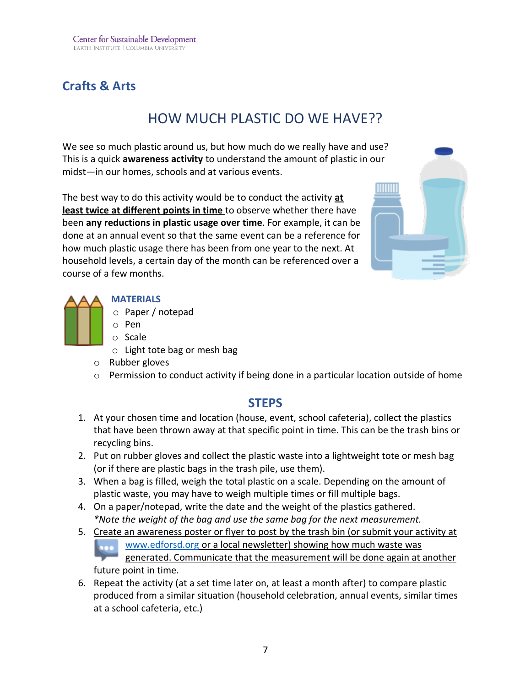## <span id="page-6-1"></span><span id="page-6-0"></span>**Crafts & Arts**

## HOW MUCH PLASTIC DO WE HAVE??

We see so much plastic around us, but how much do we really have and use? This is a quick **awareness activity** to understand the amount of plastic in our midst—in our homes, schools and at various events.

The best way to do this activity would be to conduct the activity **at least twice at different points in time** to observe whether there have been **any reductions in plastic usage over time**. For example, it can be done at an annual event so that the same event can be a reference for how much plastic usage there has been from one year to the next. At household levels, a certain day of the month can be referenced over a course of a few months.



#### **MATERIALS**

- o Paper / notepad
- o Pen
- o Scale
- o Light tote bag or mesh bag
- o Rubber gloves
- $\circ$  Permission to conduct activity if being done in a particular location outside of home

#### **STEPS**

- 1. At your chosen time and location (house, event, school cafeteria), collect the plastics that have been thrown away at that specific point in time. This can be the trash bins or recycling bins.
- 2. Put on rubber gloves and collect the plastic waste into a lightweight tote or mesh bag (or if there are plastic bags in the trash pile, use them).
- 3. When a bag is filled, weigh the total plastic on a scale. Depending on the amount of plastic waste, you may have to weigh multiple times or fill multiple bags.
- 4. On a paper/notepad, write the date and the weight of the plastics gathered. *\*Note the weight of the bag and use the same bag for the next measurement.*
- 5. Create an awareness poster or flyer to post by the trash bin (or submit your activity at [www.edforsd.org](http://www.edforsd.org/) or a local newsletter) showing how much waste was generated. Communicate that the measurement will be done again at another future point in time.
- 6. Repeat the activity (at a set time later on, at least a month after) to compare plastic produced from a similar situation (household celebration, annual events, similar times at a school cafeteria, etc.)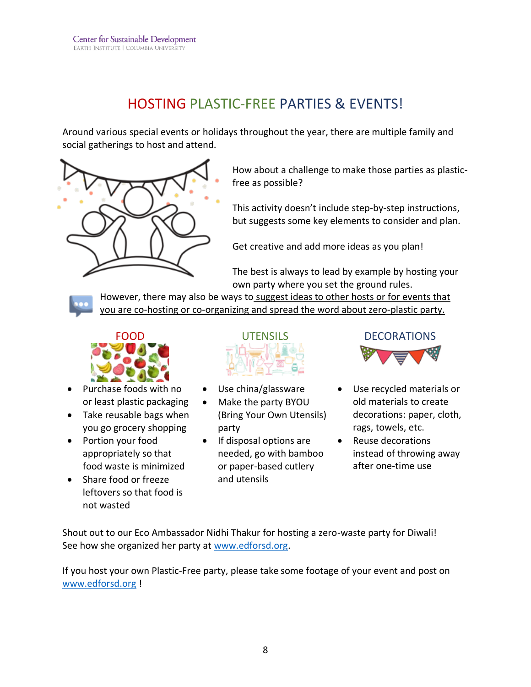## HOSTING PLASTIC-FREE PARTIES & EVENTS!

<span id="page-7-0"></span>Around various special events or holidays throughout the year, there are multiple family and social gatherings to host and attend.



How about a challenge to make those parties as plasticfree as possible?

This activity doesn't include step-by-step instructions, but suggests some key elements to consider and plan.

Get creative and add more ideas as you plan!

The best is always to lead by example by hosting your own party where you set the ground rules.

However, there may also be ways to suggest ideas to other hosts or for events that you are co-hosting or co-organizing and spread the word about zero-plastic party.



- Purchase foods with no or least plastic packaging
- Take reusable bags when you go grocery shopping
- Portion your food appropriately so that food waste is minimized
- Share food or freeze leftovers so that food is not wasted



- Use china/glassware
- Make the party BYOU (Bring Your Own Utensils) party
- If disposal options are needed, go with bamboo or paper-based cutlery and utensils



- Use recycled materials or old materials to create decorations: paper, cloth, rags, towels, etc.
- Reuse decorations instead of throwing away after one-time use

Shout out to our Eco Ambassador Nidhi Thakur for hosting a zero-waste party for Diwali! See how she organized her party at [www.edforsd.org.](http://www.edforsd.org/)

If you host your own Plastic-Free party, please take some footage of your event and post on [www.edforsd.org](http://www.edforsd.org/) !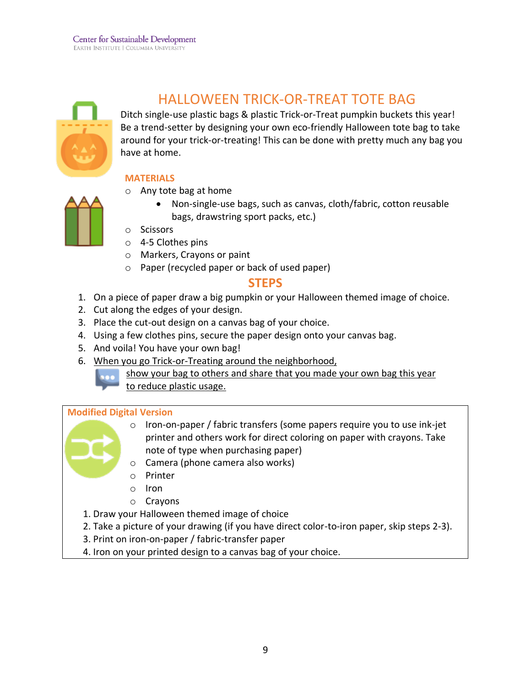

## HALLOWEEN TRICK-OR-TREAT TOTE BAG

<span id="page-8-0"></span>Ditch single-use plastic bags & plastic Trick-or-Treat pumpkin buckets this year! Be a trend-setter by designing your own eco-friendly Halloween tote bag to take around for your trick-or-treating! This can be done with pretty much any bag you have at home.

#### **MATERIALS**



- o Any tote bag at home
	- Non-single-use bags, such as canvas, cloth/fabric, cotton reusable bags, drawstring sport packs, etc.)
- o Scissors
- o 4-5 Clothes pins
- o Markers, Crayons or paint
- o Paper (recycled paper or back of used paper)

#### **STEPS**

- 1. On a piece of paper draw a big pumpkin or your Halloween themed image of choice.
- 2. Cut along the edges of your design.
- 3. Place the cut-out design on a canvas bag of your choice.
- 4. Using a few clothes pins, secure the paper design onto your canvas bag.
- 5. And voila! You have your own bag!
- 6. When you go Trick-or-Treating around the neighborhood,
	- show your bag to others and share that you made your own bag this year
		- to reduce plastic usage.

#### **Modified Digital Version**



- o Iron-on-paper / fabric transfers (some papers require you to use ink-jet printer and others work for direct coloring on paper with crayons. Take note of type when purchasing paper)
- o Camera (phone camera also works)
- o Printer
- o Iron
- o Crayons
- 1. Draw your Halloween themed image of choice
- 2. Take a picture of your drawing (if you have direct color-to-iron paper, skip steps 2-3).
- 3. Print on iron-on-paper / fabric-transfer paper
- 4. Iron on your printed design to a canvas bag of your choice.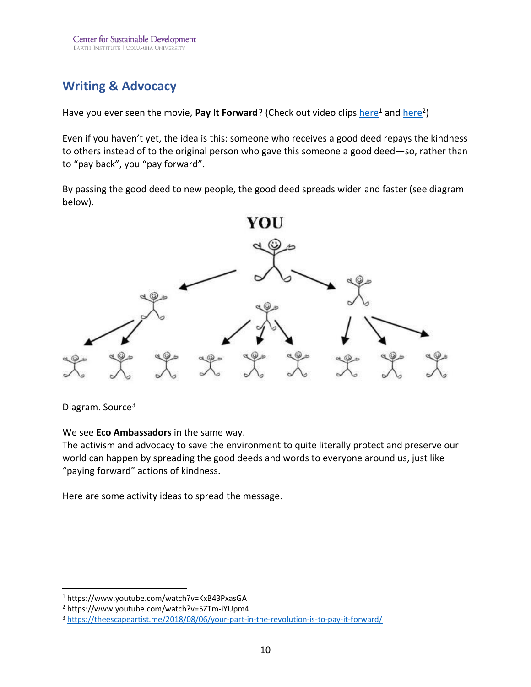## <span id="page-9-0"></span>**Writing & Advocacy**

Have you ever seen the movie, Pay It Forward? (Check out video clips <u>here</u><sup>1</sup> and <u>here</u><sup>2</sup>)

Even if you haven't yet, the idea is this: someone who receives a good deed repays the kindness to others instead of to the original person who gave this someone a good deed—so, rather than to "pay back", you "pay forward".

By passing the good deed to new people, the good deed spreads wider and faster (see diagram below).



Diagram. Source<sup>3</sup>

We see **Eco Ambassadors** in the same way.

The activism and advocacy to save the environment to quite literally protect and preserve our world can happen by spreading the good deeds and words to everyone around us, just like "paying forward" actions of kindness.

Here are some activity ideas to spread the message.

<sup>1</sup> https://www.youtube.com/watch?v=KxB43PxasGA

<sup>2</sup> https://www.youtube.com/watch?v=5ZTm-iYUpm4

<sup>3</sup> <https://theescapeartist.me/2018/08/06/your-part-in-the-revolution-is-to-pay-it-forward/>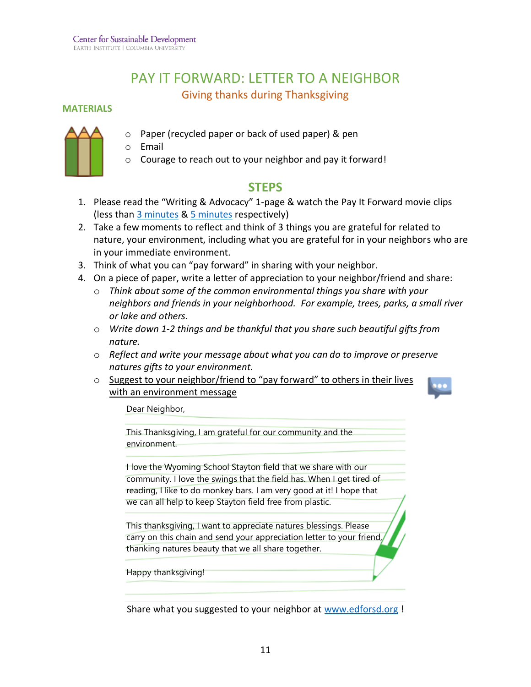## PAY IT FORWARD: LETTER TO A NEIGHBOR Giving thanks during Thanksgiving

#### <span id="page-10-0"></span>**MATERIALS**



- Paper (recycled paper or back of used paper) & pen
- o Email
- o Courage to reach out to your neighbor and pay it forward!

#### **STEPS**

- 1. Please read the "Writing & Advocacy" 1-page & watch the Pay It Forward movie clips (less tha[n 3 minutes](https://www.youtube.com/watch?v=KxB43PxasGA) [& 5 minutes](https://www.youtube.com/watch?v=5ZTm-iYUpm4) respectively)
- 2. Take a few moments to reflect and think of 3 things you are grateful for related to nature, your environment, including what you are grateful for in your neighbors who are in your immediate environment.
- 3. Think of what you can "pay forward" in sharing with your neighbor.
- 4. On a piece of paper, write a letter of appreciation to your neighbor/friend and share:
	- o *Think about some of the common environmental things you share with your neighbors and friends in your neighborhood. For example, trees, parks, a small river or lake and others.*
	- o *Write down 1-2 things and be thankful that you share such beautiful gifts from nature.*
	- o *Reflect and write your message about what you can do to improve or preserve natures gifts to your environment.*
	- o Suggest to your neighbor/friend to "pay forward" to others in their lives with an environment message



Dear Neighbor,

This Thanksgiving, I am grateful for our community and the environment.

I love the Wyoming School Stayton field that we share with our community. I love the swings that the field has. When I get tired of reading, I like to do monkey bars. I am very good at it! I hope that we can all help to keep Stayton field free from plastic.

This thanksgiving, I want to appreciate natures blessings. Please carry on this chain and send your appreciation letter to your friend, thanking natures beauty that we all share together.

Happy thanksgiving!

Share what you suggested to your neighbor at [www.edforsd.org](http://www.edforsd.org/) !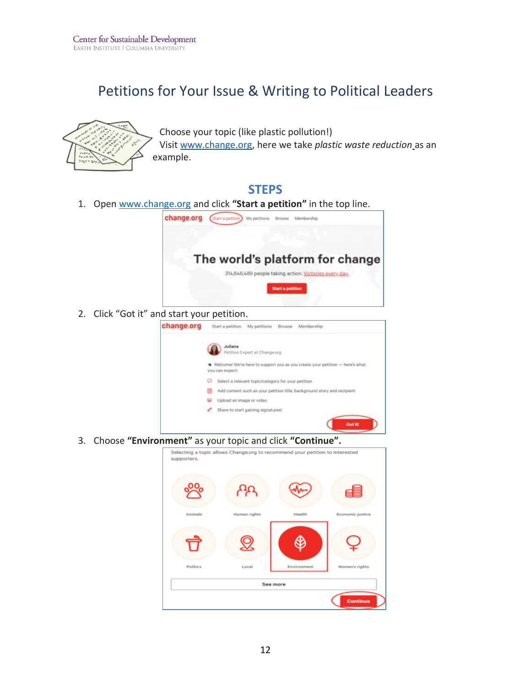## Petitions for Your Issue & Writing to Political Leaders

<span id="page-11-0"></span>

Choose your topic (like plastic pollution!) Visit [www.change.org,](http://www.change.org/) here we take *plastic waste reduction* as an example.

#### **STEPS**

1. Open [www.change.org](http://www.change.org/) and click **"[Start a petition](https://www.change.org/start-a-petition?source_location=header)"** in the top line.



3. Choose **"Environment"** as your topic and click **"Continue".**

Share to start gaining signatures!

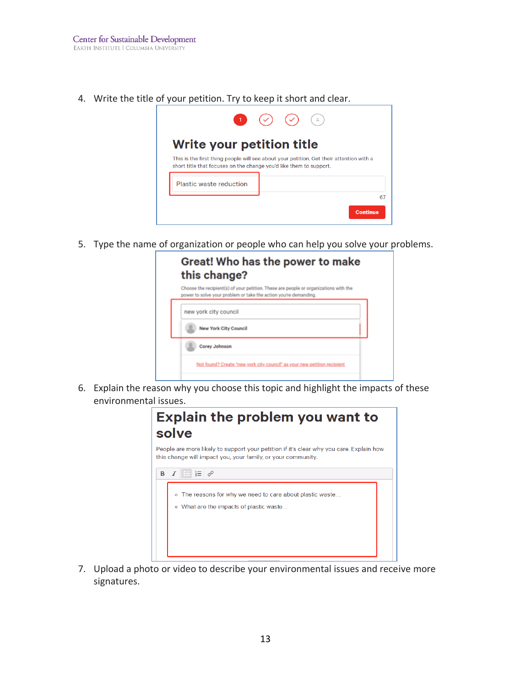4. Write the title of your petition. Try to keep it short and clear.



5. Type the name of organization or people who can help you solve your problems.

| new york city council        |  |
|------------------------------|--|
| <b>New York City Council</b> |  |

6. Explain the reason why you choose this topic and highlight the impacts of these environmental issues.



7. Upload a photo or video to describe your environmental issues and receive more signatures.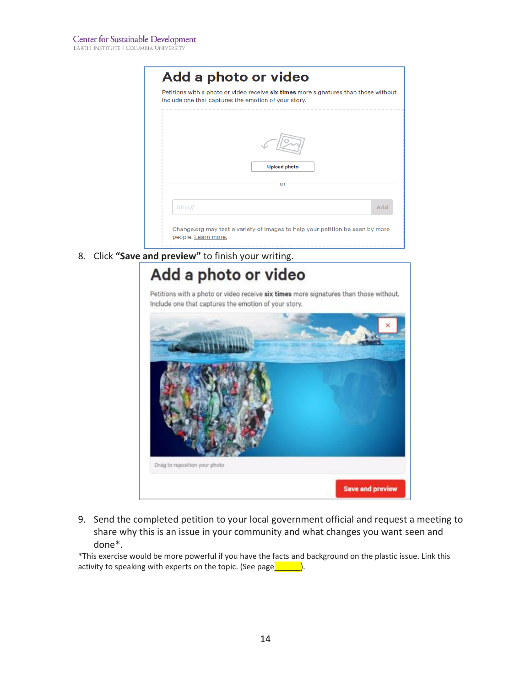|         | Petitions with a photo or video receive six times more signatures than those without.<br>Include one that captures the emotion of your story. |     |
|---------|-----------------------------------------------------------------------------------------------------------------------------------------------|-----|
|         |                                                                                                                                               |     |
|         |                                                                                                                                               |     |
|         |                                                                                                                                               |     |
|         | <b>Upload photo</b>                                                                                                                           |     |
|         | or                                                                                                                                            |     |
| http:// |                                                                                                                                               | Add |
|         |                                                                                                                                               |     |

8. Click **"Save and preview"** to finish your writing.

# Add a photo or video Petitions with a photo or video receive six times more signatures than those without. Include one that captures the emotion of your story. Drag to reposition your photo **Save and preview**

9. Send the completed petition to your local government official and request a meeting to share why this is an issue in your community and what changes you want seen and done\*.

\*This exercise would be more powerful if you have the facts and background on the plastic issue. Link this activity to speaking with experts on the topic. (See page $\frac{1}{\sqrt{2\pi}}$ ).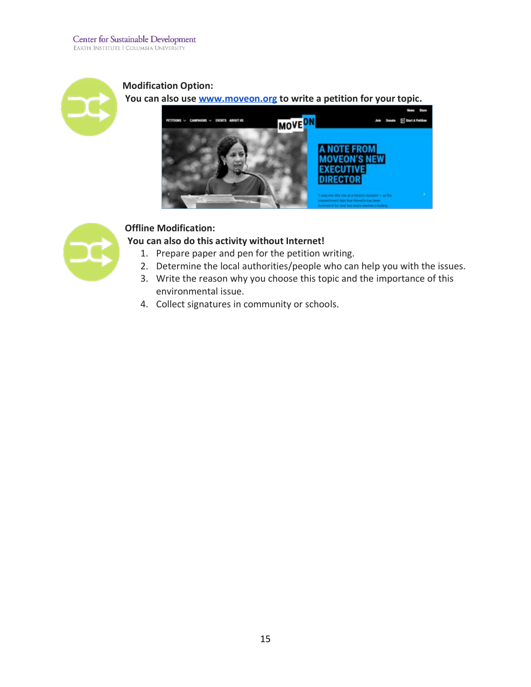

**Modification Option: You can also use [www.moveon.org](http://www.moveon.org/) to write a petition for your topic.**





#### **Offline Modification:**

#### **You can also do this activity without Internet!**

- 1. Prepare paper and pen for the petition writing.
- 2. Determine the local authorities/people who can help you with the issues.
- 3. Write the reason why you choose this topic and the importance of this environmental issue.
- 4. Collect signatures in community or schools.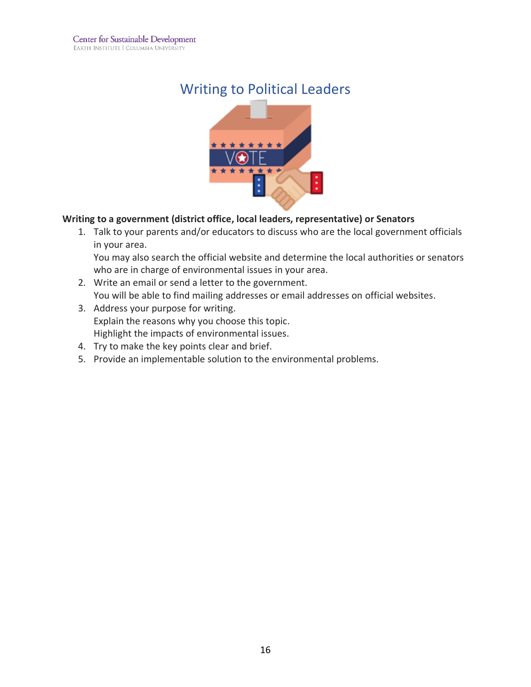## Writing to Political Leaders



#### **Writing to a government (district office, local leaders, representative) or Senators**

1. Talk to your parents and/or educators to discuss who are the local government officials in your area.

You may also search the official website and determine the local authorities or senators who are in charge of environmental issues in your area.

- 2. Write an email or send a letter to the government. You will be able to find mailing addresses or email addresses on official websites.
- 3. Address your purpose for writing. Explain the reasons why you choose this topic. Highlight the impacts of environmental issues.
- 4. Try to make the key points clear and brief.
- 5. Provide an implementable solution to the environmental problems.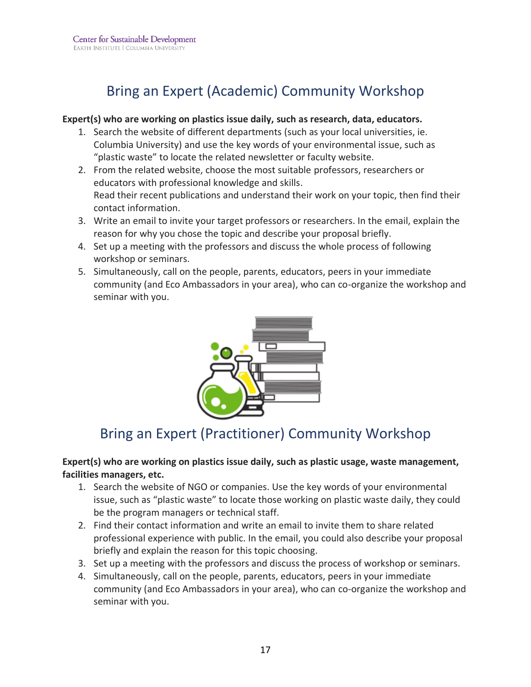## Bring an Expert (Academic) Community Workshop

#### <span id="page-16-0"></span>**Expert(s) who are working on plastics issue daily, such as research, data, educators.**

- 1. Search the website of different departments (such as your local universities, ie. Columbia University) and use the key words of your environmental issue, such as "plastic waste" to locate the related newsletter or faculty website.
- 2. From the related website, choose the most suitable professors, researchers or educators with professional knowledge and skills. Read their recent publications and understand their work on your topic, then find their contact information.
- 3. Write an email to invite your target professors or researchers. In the email, explain the reason for why you chose the topic and describe your proposal briefly.
- 4. Set up a meeting with the professors and discuss the whole process of following workshop or seminars.
- <span id="page-16-1"></span>5. Simultaneously, call on the people, parents, educators, peers in your immediate community (and Eco Ambassadors in your area), who can co-organize the workshop and seminar with you.



## Bring an Expert (Practitioner) Community Workshop

#### <span id="page-16-2"></span>**Expert(s) who are working on plastics issue daily, such as plastic usage, waste management, facilities managers, etc.**

- 1. Search the website of NGO or companies. Use the key words of your environmental issue, such as "plastic waste" to locate those working on plastic waste daily, they could be the program managers or technical staff.
- 2. Find their contact information and write an email to invite them to share related professional experience with public. In the email, you could also describe your proposal briefly and explain the reason for this topic choosing.
- 3. Set up a meeting with the professors and discuss the process of workshop or seminars.
- 4. Simultaneously, call on the people, parents, educators, peers in your immediate community (and Eco Ambassadors in your area), who can co-organize the workshop and seminar with you.